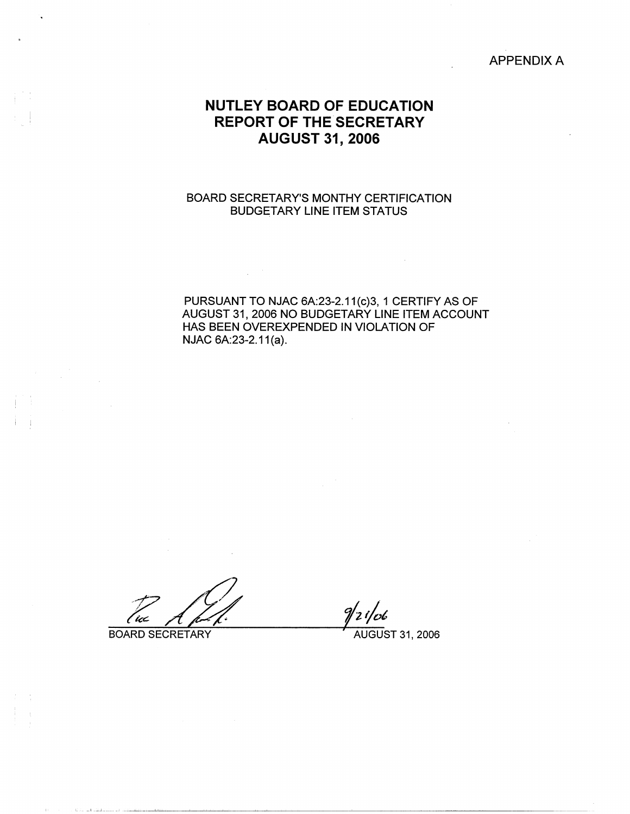APPENDIX A

# **NUTLEY BOARD OF EDUCATION REPORT OF THE SECRETARY AUGUST 31, 2006**

## BOARD SECRETARY'S MONTHY CERTIFICATION BUDGETARY LINE ITEM STATUS

 $\sim 10^{-10}$ 

PURSUANT TO NJAC 6A:23-2.11(c)3, 1 CERTIFY AS OF AUGUST 31, 2006 NO BUDGETARY LINE ITEM ACCOUNT HAS BEEN OVEREXPENDED IN VIOLATION OF NJAC 6A:23-2.11(a).

 $\sim$   $\sim$ 

BOARD SECRETARY AUGUST 31, 2006

فتتب الدامشيناليقيا الد

i I

 $\label{eq:2.1} \frac{1}{\sqrt{2\pi}}\int_{\mathbb{R}^3} \frac{1}{\sqrt{2\pi}}\int_{\mathbb{R}^3} \frac{1}{\sqrt{2\pi}}\int_{\mathbb{R}^3} \frac{1}{\sqrt{2\pi}}\int_{\mathbb{R}^3} \frac{1}{\sqrt{2\pi}}\int_{\mathbb{R}^3} \frac{1}{\sqrt{2\pi}}\int_{\mathbb{R}^3} \frac{1}{\sqrt{2\pi}}\int_{\mathbb{R}^3} \frac{1}{\sqrt{2\pi}}\int_{\mathbb{R}^3} \frac{1}{\sqrt{2\pi}}\int_{\mathbb{$ 

 $9/2i$ /06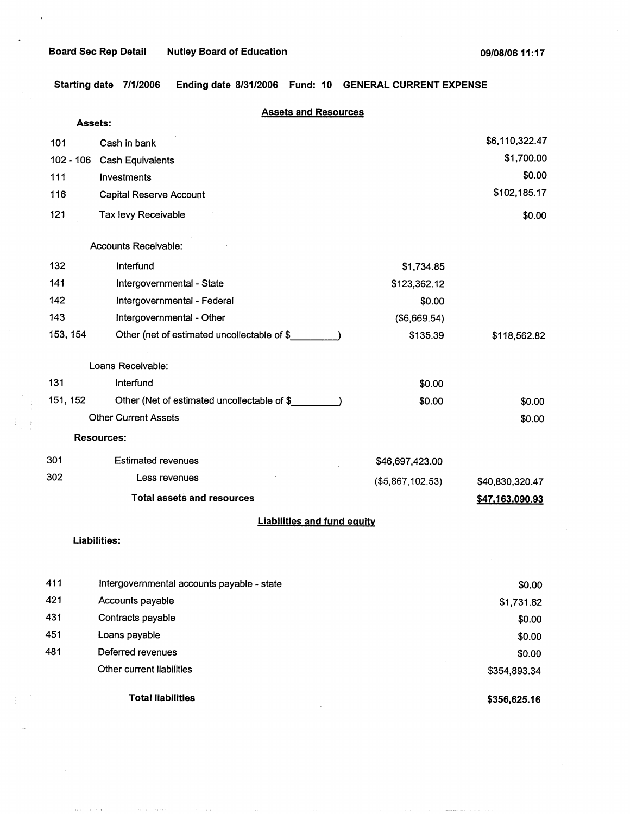**Starting date 7/1/2006 Ending date 8/31/2006 Fund: 10 GENERAL CURRENT EXPENSE** 

|          | <b>Assets and Resources</b>                 |                  |                 |
|----------|---------------------------------------------|------------------|-----------------|
|          | <b>Assets:</b>                              |                  |                 |
| 101      | Cash in bank                                |                  | \$6,110,322.47  |
|          | 102 - 106 Cash Equivalents                  |                  | \$1,700.00      |
| 111      | Investments                                 |                  | \$0.00          |
| 116      | <b>Capital Reserve Account</b>              |                  | \$102,185.17    |
| 121      | Tax levy Receivable                         |                  | \$0.00          |
|          | <b>Accounts Receivable:</b>                 |                  |                 |
| 132      | Interfund                                   | \$1,734.85       |                 |
| 141      | Intergovernmental - State                   | \$123,362.12     |                 |
| 142      | Intergovernmental - Federal                 | \$0.00           |                 |
| 143      | Intergovernmental - Other                   | (\$6,669.54)     |                 |
| 153, 154 | Other (net of estimated uncollectable of \$ | \$135.39         | \$118,562.82    |
|          | Loans Receivable:                           |                  |                 |
| 131      | Interfund                                   | \$0.00           |                 |
| 151, 152 | Other (Net of estimated uncollectable of \$ | \$0.00           | \$0.00          |
|          | <b>Other Current Assets</b>                 |                  | \$0.00          |
|          | <b>Resources:</b>                           |                  |                 |
| 301      | <b>Estimated revenues</b>                   | \$46,697,423.00  |                 |
| 302      | Less revenues                               | (\$5,867,102.53) | \$40,830,320.47 |
|          | <b>Total assets and resources</b>           |                  | \$47,163,090.93 |
|          | <b>Liabilities and fund equity</b>          |                  |                 |
|          | <b>Liabilities:</b>                         |                  |                 |
|          |                                             |                  |                 |
| 411      | Intergovernmental accounts payable - state  |                  | \$0.00          |
| 421      | Accounts payable                            |                  | \$1,731.82      |
| 431      | Contracts payable                           |                  | \$0.00          |
| 451      | Loans payable                               |                  | \$0.00          |
| 481      | Deferred revenues                           |                  | \$0.00          |

Total liabilities

Other current liabilities

I.,.,. -L--.l.--···-l--A~-~-~~-------------------------------

**\$356,625.16** 

\$354,893.34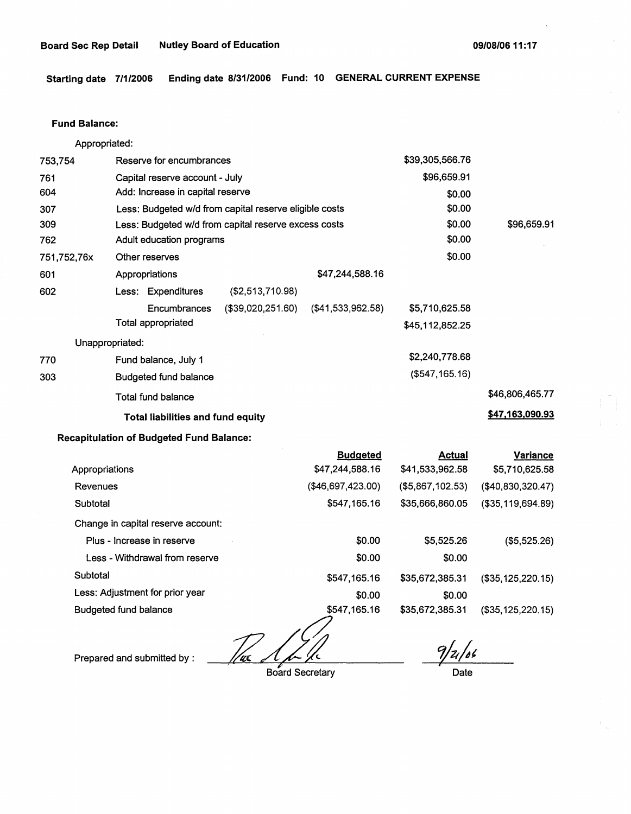**Starting date 7/1/2006 Ending date 8/31/2006 Fund: 10 GENERAL CURRENT EXPENSE** 

#### **Fund Balance:**

Appropriated: 753,754 Reserve for encumbrances Capital reserve account - July Add: Increase in capital reserve 761 604 307 309 762 751,752,76x 601 Less: Budgeted w/d from capital reserve eligible costs Less: Budgeted w/d from capital reserve excess costs Adult education programs Other reserves Appropriations \$47,244,588.16 602 770 303 Less: Expenditures (\$2,513,710.98) Encumbrances (\$39,020,251.60) (\$41,533,962.58) Total appropriated Unappropriated: Fund balance, July 1 Budgeted fund balance Total fund balance **Total liabilities and fund equity**  \$39,305,566.76 \$96,659.91 \$0.00 \$0.00 \$0.00 \$0.00 \$0.00 \$5,710,625.58 \$45,112,852.25 \$2,240,778.68 (\$547,165.16) \$96,659.91 \$46,806,465.77 **\$47,163,090.93** 

#### **Recapitulation of Budgeted Fund Balance:**

|                                    | <b>Budgeted</b>   | <b>Actual</b>    | Variance             |
|------------------------------------|-------------------|------------------|----------------------|
| Appropriations                     | \$47,244,588.16   | \$41,533,962.58  | \$5,710,625.58       |
| Revenues                           | (\$46,697,423.00) | (\$5,867,102.53) | (\$40,830,320.47)    |
| Subtotal                           | \$547,165.16      | \$35,666,860.05  | $($ \$35,119,694.89) |
| Change in capital reserve account: |                   |                  |                      |
| Plus - Increase in reserve         | \$0.00            | \$5,525.26       | (\$5,525.26)         |
| Less - Withdrawal from reserve     | \$0.00            | \$0.00           |                      |
| Subtotal                           | \$547,165.16      | \$35,672,385.31  | (\$35,125,220.15)    |
| Less: Adjustment for prior year    | \$0.00            | \$0.00           |                      |
| <b>Budgeted fund balance</b>       | \$547,165.16      | \$35,672,385.31  | (\$35,125,220.15)    |
|                                    |                   |                  |                      |

Prepared and submitted by :<br>Prepared and submitted by :<br>Board Secretary

Board Secretary

 $9/21/66$ *I* 

Date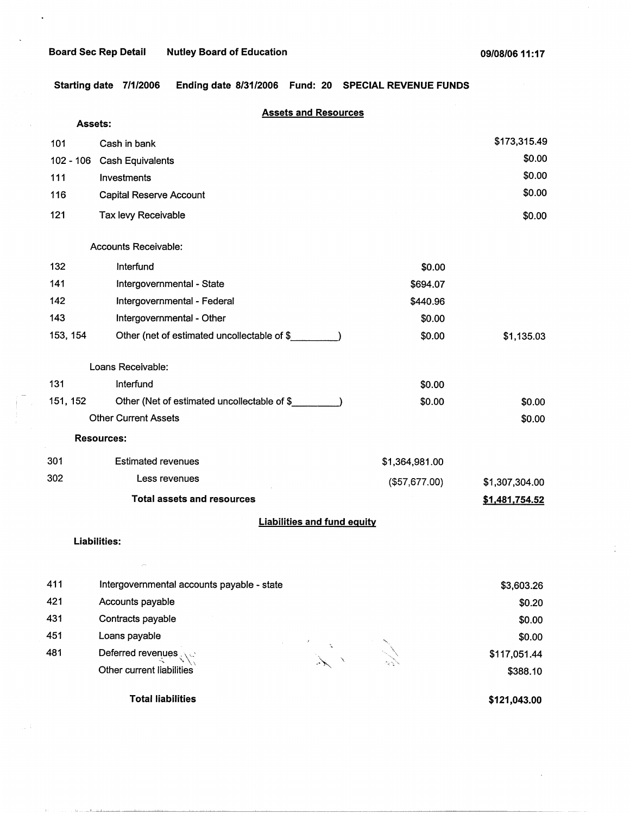$\ddot{\phantom{0}}$ 

 $\hat{\boldsymbol{\theta}}$ 

**Starting date 7/1/2006 Ending date 8/31/2006 Fund: 20 SPECIAL REVENUE FUNDS** 

|          | <b>Assets and Resources</b>                 |                |                |
|----------|---------------------------------------------|----------------|----------------|
| Assets:  |                                             |                |                |
| 101      | Cash in bank                                |                | \$173,315.49   |
|          | 102 - 106 Cash Equivalents                  |                | \$0.00         |
| 111      | Investments                                 |                | \$0.00         |
| 116      | Capital Reserve Account                     |                | \$0.00         |
| 121      | Tax levy Receivable                         |                | \$0.00         |
|          | <b>Accounts Receivable:</b>                 |                |                |
| 132      | Interfund                                   | \$0.00         |                |
| 141      | Intergovernmental - State                   | \$694.07       |                |
| 142      | Intergovernmental - Federal                 | \$440.96       |                |
| 143      | Intergovernmental - Other                   | \$0.00         |                |
| 153, 154 | Other (net of estimated uncollectable of \$ | \$0.00         | \$1,135.03     |
|          | Loans Receivable:                           |                |                |
| 131      | Interfund                                   | \$0.00         |                |
| 151, 152 | Other (Net of estimated uncollectable of \$ | \$0.00         | \$0.00         |
|          | <b>Other Current Assets</b>                 |                | \$0.00         |
|          | <b>Resources:</b>                           |                |                |
| 301      | <b>Estimated revenues</b>                   | \$1,364,981.00 |                |
| 302      | Less revenues                               | (\$57,677.00)  | \$1,307,304.00 |
|          | <b>Total assets and resources</b>           |                | \$1,481,754.52 |
|          | <b>Liabilities and fund equity</b>          |                |                |
|          | <b>Liabilities:</b>                         |                |                |
|          |                                             |                |                |
| 411      | Intergovernmental accounts payable - state  |                | \$3,603.26     |
| 421      | Accounts payable                            |                | \$0.20         |
| 431      | Contracts payable                           |                | \$0.00         |
| 451      | Loans payable                               |                | \$0.00         |
| 481      | Deferred revenues                           |                | \$117,051.44   |

**Total liabilities** 

Other current liabilities

 $\tau_{\rm c}$  ,  $\tau_{\rm c}$  ,  $\tau_{\rm c}$  , and a simultaneously  $\tau_{\rm c}$ 

**\$121,043.00** 

\$388.10

 $\frac{1}{2}$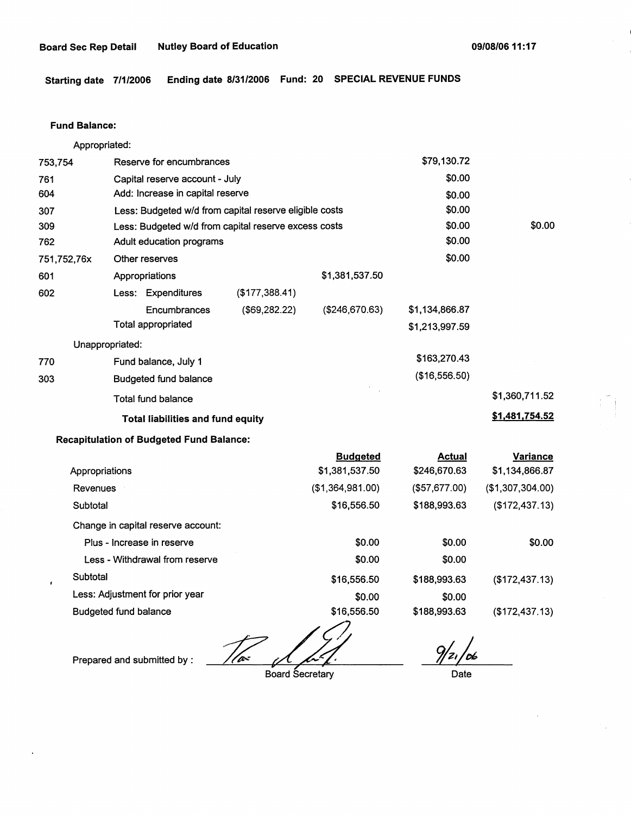**Starting date 7/1/2006 Ending date 8/31/2006 Fund: 20 SPECIAL REVENUE FUNDS** 

#### **Fund Balance:**

753,754 761 604 307 309 Appropriated: Reserve for encumbrances Capital reserve account - July Add: Increase in capital reserve Less: Budgeted w/d from capital reserve eligible costs Less: Budgeted w/d from capital reserve excess costs \$79,130.72 \$0.00 \$0.00 \$0.00 \$0.00 762 751,752,76x 601 Adult education programs  $\sim$  \$0.00 602 770 303 Other reserves \$0.00 Appropriations \$1,381,537.50 Less: Expenditures (\$177,388.41) **Encumbrances** Total appropriated Unappropriated: Fund balance, July 1 Budgeted fund balance Total fund balance (\$69,282.22) **Total liabilities and fund equity Recapitulation of Budgeted Fund Balance:**  (\$246,670.63) \$1,134,866.87 \$1,213,997.59 \$163,270.43 (\$16,556.50) \$0.00 \$1,360,711.52 **\$1,481,754.52** 

|                                    | <b>Budgeted</b>  | <b>Actual</b> | <b>Variance</b>  |
|------------------------------------|------------------|---------------|------------------|
| Appropriations                     | \$1,381,537.50   | \$246,670.63  | \$1,134,866.87   |
| Revenues                           | (\$1,364,981.00) | (\$57,677.00) | (\$1,307,304.00) |
| Subtotal                           | \$16,556.50      | \$188,993.63  | (\$172,437.13)   |
| Change in capital reserve account: |                  |               |                  |
| Plus - Increase in reserve         | \$0.00           | \$0.00        | \$0.00           |
| Less - Withdrawal from reserve     | \$0.00           | \$0.00        |                  |
| Subtotal                           | \$16,556.50      | \$188,993.63  | (\$172,437.13)   |
| Less: Adjustment for prior year    | \$0.00           | \$0.00        |                  |
| <b>Budgeted fund balance</b>       | \$16,556.50      | \$188,993.63  | (\$172,437.13)   |

Budgeted fund balance<br>Prepared and submitted by :  $\frac{1}{\sqrt{a^2}}$   $\frac{1}{\sqrt{a^2}}$   $\frac{9}{21}$   $\frac{6}{21}$ <br>Board Secretary

Board Secretary **Date**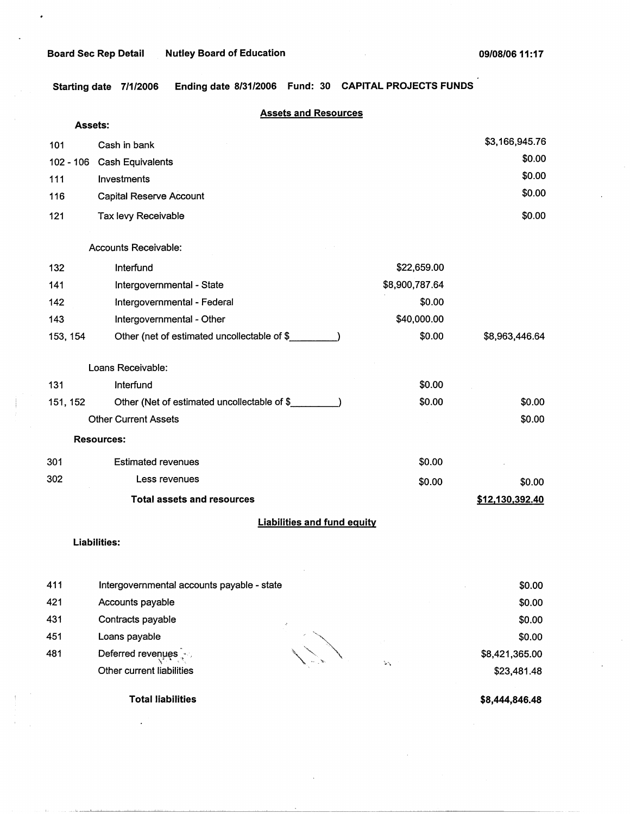**Starting date 7/1/2006** Ending **date 8/31/2006** Fund: **30 CAPITAL PROJECTS FUNDS** 

|             | <b>Assets and Resources</b>                 |                |                 |
|-------------|---------------------------------------------|----------------|-----------------|
|             | <b>Assets:</b>                              |                |                 |
| 101         | Cash in bank                                |                | \$3,166,945.76  |
| $102 - 106$ | <b>Cash Equivalents</b>                     |                | \$0.00          |
| 111         | Investments                                 |                | \$0.00          |
| 116         | Capital Reserve Account                     |                | \$0.00          |
| 121         | Tax levy Receivable                         |                | \$0.00          |
|             | Accounts Receivable:                        |                |                 |
| 132         | Interfund                                   | \$22,659.00    |                 |
| 141         | Intergovernmental - State                   | \$8,900,787.64 |                 |
| 142         | Intergovernmental - Federal                 | \$0.00         |                 |
| 143         | Intergovernmental - Other                   | \$40,000.00    |                 |
| 153, 154    | Other (net of estimated uncollectable of \$ | \$0.00         | \$8,963,446.64  |
|             | Loans Receivable:                           |                |                 |
| 131         | Interfund                                   | \$0.00         |                 |
| 151, 152    | Other (Net of estimated uncollectable of \$ | \$0.00         | \$0.00          |
|             | <b>Other Current Assets</b>                 |                | \$0.00          |
|             | <b>Resources:</b>                           |                |                 |
| 301         | <b>Estimated revenues</b>                   | \$0.00         |                 |
| 302         | Less revenues                               | \$0.00         | \$0.00          |
|             | <b>Total assets and resources</b>           |                | \$12,130,392.40 |
|             | <b>Liabilities and fund equity</b>          |                |                 |
|             | <b>Liabilities:</b>                         |                |                 |
| 411         | Intergovernmental accounts payable - state  |                | \$0.00          |

421 Accounts payable

- 431 Contracts payable
- 451 Loans payable
- 481 Deferred revenues<br>Other current liabilities

 $\mathcal{L}_{\mathbf{A}}$ 

\$0.00 \$0.00 \$0.00 \$8,421,365.00 \$23,481.48

**Total liabilities** 

**\$8,444,846.48**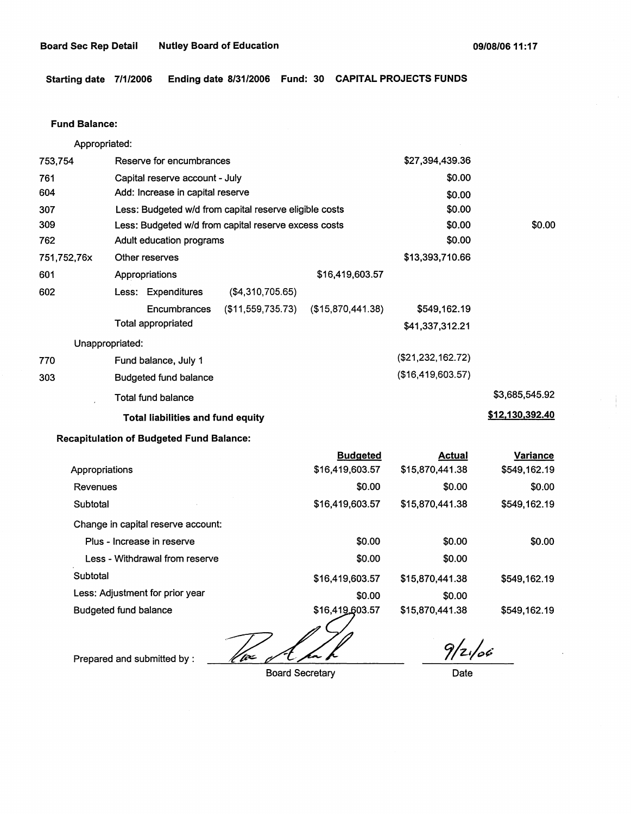Starting date 7/1/2006 Ending date 8/31/2006 Fund: 30 CAPITAL PROJECTS FUNDS

#### Fund **Balance:**

Appropriated: 753,754 Reserve for encumbrances Capital reserve account - July Add: Increase in capital reserve 761 604 307 309 762 751,752,76x 601 Less: Budgeted w/d from capital reserve eligible costs Less: Budgeted w/d from capital reserve excess costs Adult education programs Other reserves Appropriations \$16,419,603.57 602 770 303 Less: Expenditures (\$4,310,705.65) Encumbrances (\$11,559,735.73) (\$15,870,441.38) Total appropriated Unappropriated: Fund balance, July 1 Budgeted fund balance Total fund balance **Total liabilities and fund equity Recapitulation of Budgeted Fund Balance: Budgeted**  \$27,394,439.36 \$0.00 \$0.00 \$0.00 \$0.00 \$0.00 \$13,393,710.66 \$549,162.19 \$41,337,312.21 (\$21,232,162.72) (\$16,419,603.57) **Actual**  \$0.00 \$3,685,545.92 **\$12,130,392.40 Variance** 

|                                    | Buagetea        | Actual          | variance     |
|------------------------------------|-----------------|-----------------|--------------|
| Appropriations                     | \$16,419,603.57 | \$15,870,441.38 | \$549,162.19 |
| Revenues                           | \$0.00          | \$0.00          | \$0.00       |
| Subtotal                           | \$16,419,603.57 | \$15,870,441.38 | \$549,162.19 |
| Change in capital reserve account: |                 |                 |              |
| Plus - Increase in reserve         | \$0.00          | \$0.00          | \$0.00       |
| Less - Withdrawal from reserve     | \$0.00          | \$0.00          |              |
| Subtotal                           | \$16,419,603.57 | \$15,870,441.38 | \$549,162.19 |
| Less: Adjustment for prior year    | \$0.00          | \$0.00          |              |
| <b>Budgeted fund balance</b>       | \$16,419,603.57 | \$15,870,441.38 | \$549,162.19 |
|                                    |                 | $\mathbf{r}$ .  |              |

/fe<

Prepared and submitted by :

Board Secretary

 $9/2/66$ 

Date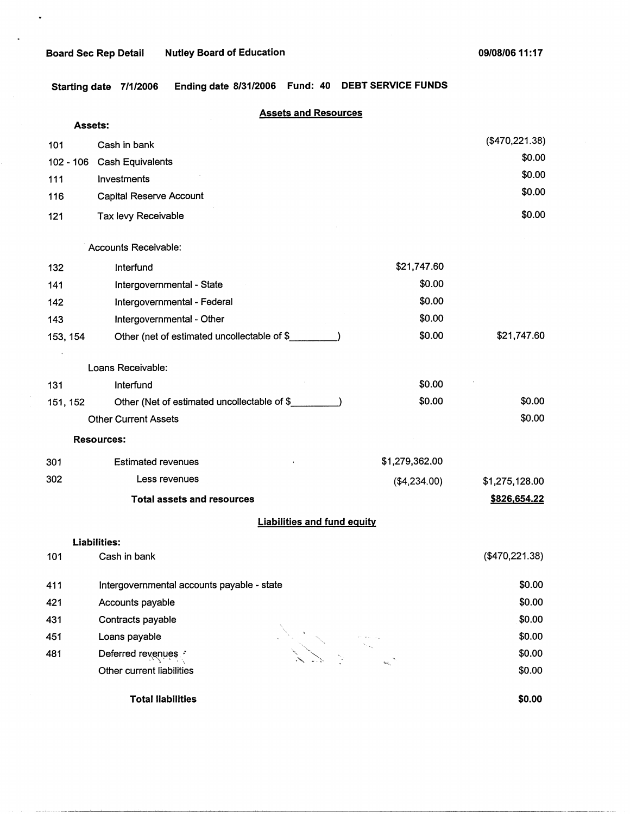$\bullet$ 

**Starting date 7/1/2006 Ending date 8/31/2006 Fund: 40 DEBT SERVICE FUNDS** 

|                | <b>Assets and Resources</b>                 |                |                |
|----------------|---------------------------------------------|----------------|----------------|
| <b>Assets:</b> |                                             |                | (\$470,221.38) |
| 101            | Cash in bank                                |                | \$0.00         |
| $102 - 106$    | Cash Equivalents                            |                | \$0.00         |
| 111            | Investments                                 |                | \$0.00         |
| 116            | Capital Reserve Account                     |                |                |
| 121            | Tax levy Receivable                         |                | \$0.00         |
|                | Accounts Receivable:                        |                |                |
| 132            | Interfund                                   | \$21,747.60    |                |
| 141            | Intergovernmental - State                   | \$0.00         |                |
| 142            | Intergovernmental - Federal                 | \$0.00         |                |
| 143            | Intergovernmental - Other                   | \$0.00         |                |
| 153, 154       | Other (net of estimated uncollectable of \$ | \$0.00         | \$21,747.60    |
|                | Loans Receivable:                           |                |                |
| 131            | Interfund                                   | \$0.00         |                |
| 151, 152       | Other (Net of estimated uncollectable of \$ | \$0.00         | \$0.00         |
|                | <b>Other Current Assets</b>                 |                | \$0.00         |
|                | <b>Resources:</b>                           |                |                |
| 301            | <b>Estimated revenues</b>                   | \$1,279,362.00 |                |
| 302            | Less revenues                               | (\$4,234.00)   | \$1,275,128.00 |
|                | <b>Total assets and resources</b>           |                | \$826,654.22   |
|                | <b>Liabilities and fund equity</b>          |                |                |
|                | Liabilities:                                |                |                |
| 101            | Cash in bank                                |                | (\$470,221.38) |
| 411            | Intergovernmental accounts payable - state  |                | \$0.00         |
| 421            | Accounts payable                            |                | \$0.00         |
| 431            | Contracts payable                           |                | \$0.00         |
| 451            | Loans payable                               |                | \$0.00         |
| 481            | Deferred revenues                           |                | \$0.00         |
|                | Other current liabilities                   |                | \$0.00         |
|                | <b>Total liabilities</b>                    |                | \$0.00         |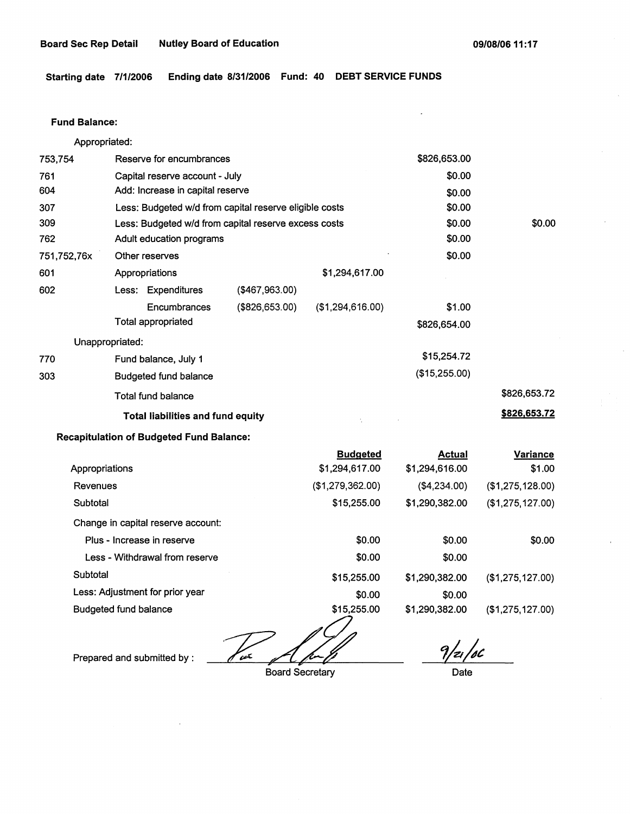**Starting date 7/1/2006 Ending date 8/31/2006 Fund: 40 DEBT SERVICE FUNDS** 

#### **Fund Balance:**

753,754 761 604 Appropriated: Reserve for encumbrances Capital reserve account - July Add: Increase in capital reserve 307 309 762 751,752,76x 601 Less: Budgeted w/d from capital reserve eligible costs Less: Budgeted w/d from capital reserve excess costs Adult education programs 602 770 303 Other reserves Appropriations Less: Expenditures **Encumbrances** Total appropriated Unappropriated: Fund balance, July 1 Budgeted fund balance Total fund balance (\$467,963.00) (\$826,653.00) \$1,294,617.00 (\$1,294,616.00) **Total liabilities and fund equity**  \$826,653.00 \$0.00 \$0.00 \$0.00 \$0.00 \$0.00 \$0.00 \$1.00 \$826,654.00 \$15,254.72 (\$15,255.00) \$0.00 \$826,653.72 **\$826,653.72** 

### **Recapitulation of Budgeted Fund Balance:**

|                                    | <b>Budgeted</b>  | <b>Actual</b>  | <b>Variance</b>  |
|------------------------------------|------------------|----------------|------------------|
| Appropriations                     | \$1,294,617.00   | \$1,294,616.00 | \$1.00           |
| Revenues                           | (\$1,279,362.00) | ( \$4,234.00)  | (\$1,275,128.00) |
| Subtotal                           | \$15,255.00      | \$1,290,382.00 | (\$1,275,127.00) |
| Change in capital reserve account: |                  |                |                  |
| Plus - Increase in reserve         | \$0.00           | \$0.00         | \$0.00           |
| Less - Withdrawal from reserve     | \$0.00           | \$0.00         |                  |
| Subtotal                           | \$15,255.00      | \$1,290,382.00 | (\$1,275,127.00) |
| Less: Adjustment for prior year    | \$0.00           | \$0.00         |                  |
| <b>Budgeted fund balance</b>       | \$15,255.00      | \$1,290,382.00 | (\$1,275,127.00) |

Prepared and submitted by :  $\sqrt{c}$ 

Board Secretary

*,/4jt:* 

Date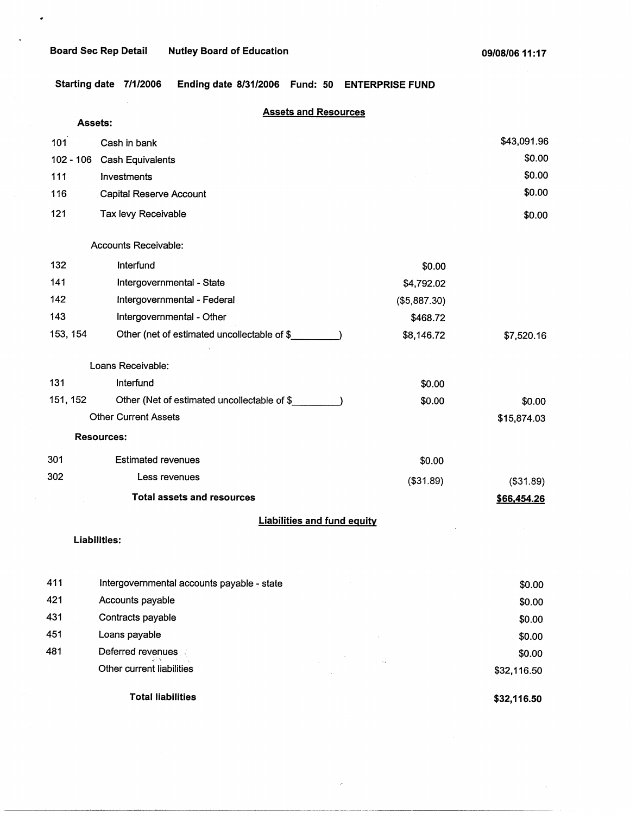$\bullet$ 

**Starting date 7/1/2006 Ending date 8/31/2006 Fund: 50 ENTERPRISE FUND** 

|          | <b>Assets and Resources</b>                 |              |             |
|----------|---------------------------------------------|--------------|-------------|
|          | <b>Assets:</b>                              |              |             |
| 101      | Cash in bank                                |              | \$43,091.96 |
|          | 102 - 106 Cash Equivalents                  |              | \$0.00      |
| 111      | Investments                                 |              | \$0.00      |
| 116      | Capital Reserve Account                     |              | \$0.00      |
| 121      | Tax levy Receivable                         |              | \$0.00      |
|          | Accounts Receivable:                        |              |             |
| 132      | Interfund                                   | \$0.00       |             |
| 141      | Intergovernmental - State                   | \$4,792.02   |             |
| 142      | Intergovernmental - Federal                 | (\$5,887.30) |             |
| 143      | Intergovernmental - Other                   | \$468.72     |             |
| 153, 154 | Other (net of estimated uncollectable of \$ | \$8,146.72   | \$7,520.16  |
|          | Loans Receivable:                           |              |             |
| 131      | Interfund                                   | \$0.00       |             |
| 151, 152 | Other (Net of estimated uncollectable of \$ | \$0.00       | \$0.00      |
|          | <b>Other Current Assets</b>                 |              | \$15,874.03 |
|          | <b>Resources:</b>                           |              |             |
| 301      | <b>Estimated revenues</b>                   | \$0.00       |             |
| 302      | Less revenues                               | ( \$31.89)   | (\$31.89)   |
|          | <b>Total assets and resources</b>           |              | \$66,454.26 |
|          | <b>Liabilities and fund equity</b>          |              |             |
|          | Liabilities:                                |              |             |
|          |                                             |              |             |
| 411      | Intergovernmental accounts payable - state  |              | \$0.00      |
| 421      | Accounts payable                            |              | \$0.00      |
| 431      | Contracts payable                           |              | \$0.00      |
| 451      | Loans payable                               |              | \$0.00      |
| 481      | Deferred revenues                           |              | \$0.00      |

**Total liabilities** 

Other current liabilities

**\$32,116.50** 

\$32,116.50

 $\bar{\phi}$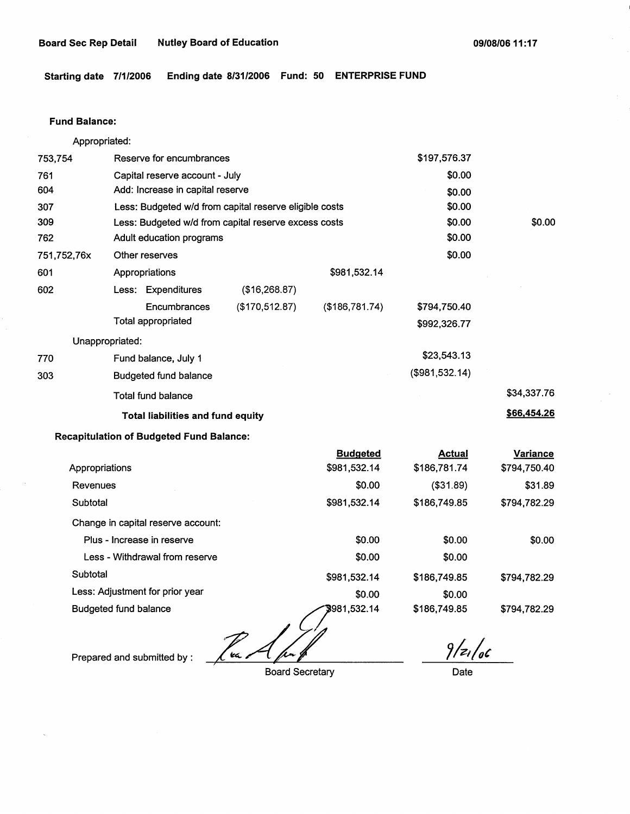**Starting date 7/1/2006 Ending date 8/31/2006 Fund: 50 ENTERPRISE FUND** 

### **Fund Balance:**

Appropriated:

| 753,754         | Reserve for encumbrances                               |                                |                | \$197,576.37   |             |
|-----------------|--------------------------------------------------------|--------------------------------|----------------|----------------|-------------|
| 761             |                                                        | Capital reserve account - July |                | \$0.00         |             |
| 604             | Add: Increase in capital reserve                       |                                |                | \$0.00         |             |
| 307             | Less: Budgeted w/d from capital reserve eligible costs |                                |                | \$0.00         |             |
| 309             | Less: Budgeted w/d from capital reserve excess costs   |                                |                | \$0.00         | \$0.00      |
| 762             | Adult education programs                               |                                |                | \$0.00         |             |
| 751,752,76x     | Other reserves                                         |                                |                | \$0.00         |             |
| 601             | Appropriations                                         |                                | \$981,532.14   |                |             |
| 602             | Less: Expenditures                                     | (\$16,268.87)                  |                |                |             |
|                 | Encumbrances                                           | (\$170,512.87)                 | (\$186,781.74) | \$794,750.40   |             |
|                 | Total appropriated                                     |                                |                | \$992,326.77   |             |
| Unappropriated: |                                                        |                                |                |                |             |
| 770             | Fund balance, July 1                                   |                                |                | \$23,543.13    |             |
| 303             | <b>Budgeted fund balance</b>                           |                                |                | (\$981,532.14) |             |
|                 | Total fund balance                                     |                                |                |                | \$34,337.76 |
|                 | <b>Total liabilities and fund equity</b>               |                                |                |                | \$66,454.26 |
|                 | <b>Recapitulation of Budgeted Fund Balance:</b>        |                                |                |                |             |

|                                    | <b>Budgeted</b> | <b>Actual</b> | <b>Variance</b> |
|------------------------------------|-----------------|---------------|-----------------|
| Appropriations                     | \$981,532.14    | \$186,781.74  | \$794,750.40    |
| Revenues                           | \$0.00          | (\$31.89)     | \$31.89         |
| Subtotal                           | \$981,532.14    | \$186,749.85  | \$794,782.29    |
| Change in capital reserve account: |                 |               |                 |
| Plus - Increase in reserve         | \$0.00          | \$0.00        | \$0.00          |
| Less - Withdrawal from reserve     | \$0.00          | \$0.00        |                 |
| Subtotal                           | \$981,532.14    | \$186,749.85  | \$794.782.29    |
| Less: Adjustment for prior year    | \$0.00          | \$0.00        |                 |
| Budgeted fund balance              | \$981,532.14    | \$186,749.85  | \$794,782.29    |

; ~A//

Prepared and submitted by :

Board Secretary

*7/4;/4(* 

Date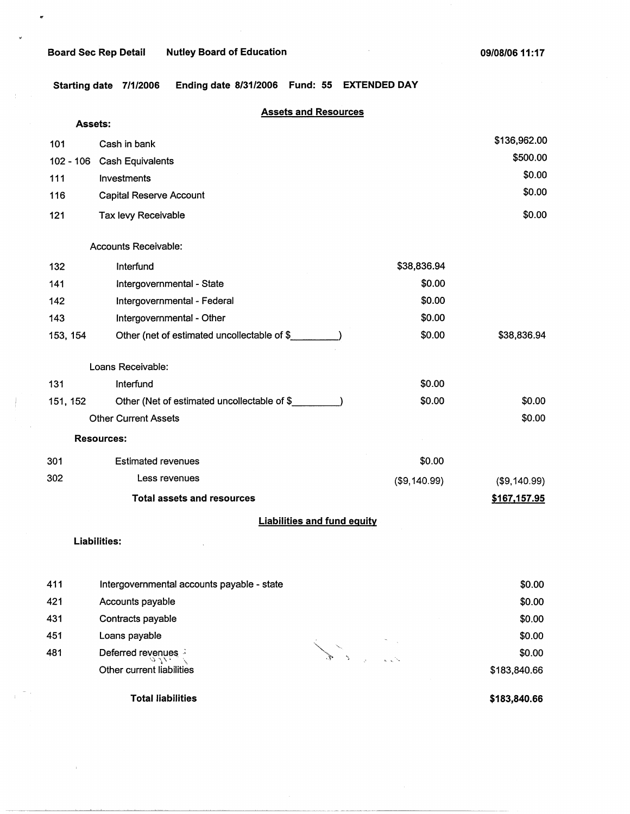$\bullet$ 

**Starting date 7/1/2006 Ending date 8/31/2006 Fund: 55 EXTENDED DAY** 

### **Assets and Resources**

| <b>Assets:</b> |                                             |              |              |
|----------------|---------------------------------------------|--------------|--------------|
| 101            | Cash in bank                                |              | \$136,962.00 |
| $102 - 106$    | Cash Equivalents                            |              | \$500.00     |
| 111            | Investments                                 |              | \$0.00       |
| 116            | <b>Capital Reserve Account</b>              |              | \$0.00       |
| 121            | Tax levy Receivable                         |              | \$0.00       |
|                | <b>Accounts Receivable:</b>                 |              |              |
| 132            | Interfund                                   | \$38,836.94  |              |
| 141            | Intergovernmental - State                   | \$0.00       |              |
| 142            | Intergovernmental - Federal                 | \$0.00       |              |
| 143            | Intergovernmental - Other                   | \$0.00       |              |
| 153, 154       | Other (net of estimated uncollectable of \$ | \$0.00       | \$38,836.94  |
|                | Loans Receivable:                           |              |              |
| 131            | Interfund                                   | \$0.00       |              |
| 151, 152       | Other (Net of estimated uncollectable of \$ | \$0.00       | \$0.00       |
|                | <b>Other Current Assets</b>                 |              | \$0.00       |
|                | <b>Resources:</b>                           |              |              |
| 301            | <b>Estimated revenues</b>                   | \$0.00       |              |
| 302            | Less revenues                               | (\$9,140.99) | (\$9,140.99) |
|                | <b>Total assets and resources</b>           |              | \$167,157.95 |
|                | <b>Liabilities and fund equity</b>          |              |              |

**Liabilities:** 

 $\pm$ 

| 411 | Intergovernmental accounts payable - state | \$0.00       |
|-----|--------------------------------------------|--------------|
| 421 | Accounts payable                           | \$0.00       |
| 431 | Contracts payable                          | \$0.00       |
| 451 | Loans payable                              | \$0.00       |
| 481 | Deferred revenues                          | \$0.00       |
|     | Other current liabilities                  | \$183,840.66 |
|     |                                            |              |

Total liabilities

**\$183,840.66**